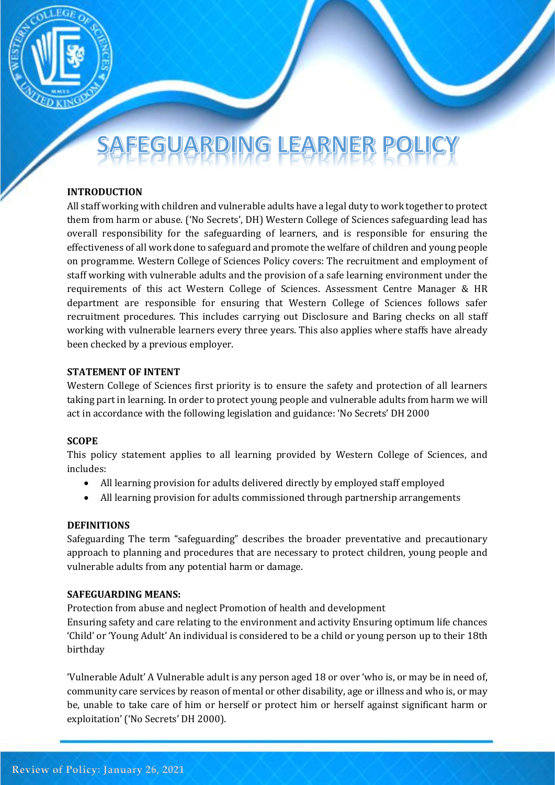

# JARDING LEARNER

# **INTRODUCTION**

All staff working with children and vulnerable adults have a legal duty to work together to protect them from harm or abuse. ('No Secrets', DH) Western College of Sciences safeguarding lead has overall responsibility for the safeguarding of learners, and is responsible for ensuring the effectiveness of all work done to safeguard and promote the welfare of children and young people on programme. Western College of Sciences Policy covers: The recruitment and employment of staff working with vulnerable adults and the provision of a safe learning environment under the requirements of this act Western College of Sciences. Assessment Centre Manager & HR department are responsible for ensuring that Western College of Sciences follows safer recruitment procedures. This includes carrying out Disclosure and Baring checks on all staff working with vulnerable learners every three years. This also applies where staffs have already been checked by a previous employer.

## **STATEMENT OF INTENT**

Western College of Sciences first priority is to ensure the safety and protection of all learners taking part in learning. In order to protect young people and vulnerable adults from harm we will act in accordance with the following legislation and guidance: 'No Secrets' DH 2000

## **SCOPE**

This policy statement applies to all learning provided by Western College of Sciences, and includes:

- All learning provision for adults delivered directly by employed staff employed
- All learning provision for adults commissioned through partnership arrangements

## **DEFINITIONS**

Safeguarding The term "safeguarding" describes the broader preventative and precautionary approach to planning and procedures that are necessary to protect children, young people and vulnerable adults from any potential harm or damage.

## **SAFEGUARDING MEANS:**

Protection from abuse and neglect Promotion of health and development

Ensuring safety and care relating to the environment and activity Ensuring optimum life chances 'Child' or 'Young Adult' An individual is considered to be a child or young person up to their 18th birthday

'Vulnerable Adult' A Vulnerable adult is any person aged 18 or over 'who is, or may be in need of, community care services by reason of mental or other disability, age or illness and who is, or may be, unable to take care of him or herself or protect him or herself against significant harm or exploitation' ('No Secrets' DH 2000).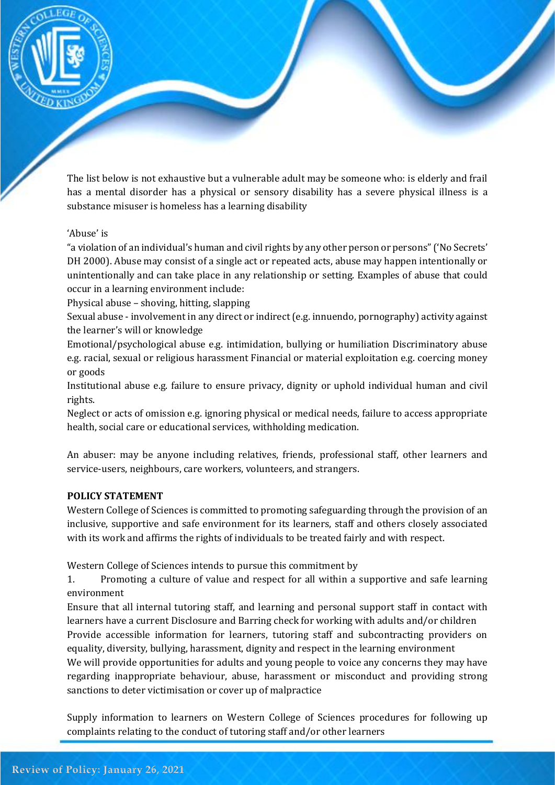

The list below is not exhaustive but a vulnerable adult may be someone who: is elderly and frail has a mental disorder has a physical or sensory disability has a severe physical illness is a substance misuser is homeless has a learning disability

## 'Abuse' is

"a violation of an individual's human and civil rights by any other person or persons" ('No Secrets' DH 2000). Abuse may consist of a single act or repeated acts, abuse may happen intentionally or unintentionally and can take place in any relationship or setting. Examples of abuse that could occur in a learning environment include:

Physical abuse – shoving, hitting, slapping

Sexual abuse - involvement in any direct or indirect (e.g. innuendo, pornography) activity against the learner's will or knowledge

Emotional/psychological abuse e.g. intimidation, bullying or humiliation Discriminatory abuse e.g. racial, sexual or religious harassment Financial or material exploitation e.g. coercing money or goods

Institutional abuse e.g. failure to ensure privacy, dignity or uphold individual human and civil rights.

Neglect or acts of omission e.g. ignoring physical or medical needs, failure to access appropriate health, social care or educational services, withholding medication.

An abuser: may be anyone including relatives, friends, professional staff, other learners and service-users, neighbours, care workers, volunteers, and strangers.

#### **POLICY STATEMENT**

Western College of Sciences is committed to promoting safeguarding through the provision of an inclusive, supportive and safe environment for its learners, staff and others closely associated with its work and affirms the rights of individuals to be treated fairly and with respect.

Western College of Sciences intends to pursue this commitment by

1. Promoting a culture of value and respect for all within a supportive and safe learning environment

Ensure that all internal tutoring staff, and learning and personal support staff in contact with learners have a current Disclosure and Barring check for working with adults and/or children Provide accessible information for learners, tutoring staff and subcontracting providers on equality, diversity, bullying, harassment, dignity and respect in the learning environment

We will provide opportunities for adults and young people to voice any concerns they may have regarding inappropriate behaviour, abuse, harassment or misconduct and providing strong sanctions to deter victimisation or cover up of malpractice

Supply information to learners on Western College of Sciences procedures for following up complaints relating to the conduct of tutoring staff and/or other learners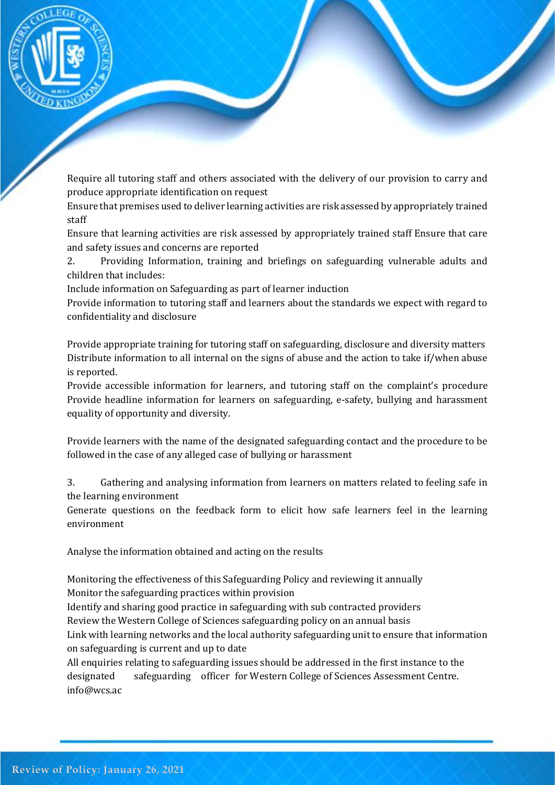

Require all tutoring staff and others associated with the delivery of our provision to carry and produce appropriate identification on request

Ensure that premises used to deliver learning activities are risk assessed by appropriately trained staff

Ensure that learning activities are risk assessed by appropriately trained staff Ensure that care and safety issues and concerns are reported

2. Providing Information, training and briefings on safeguarding vulnerable adults and children that includes:

Include information on Safeguarding as part of learner induction

Provide information to tutoring staff and learners about the standards we expect with regard to confidentiality and disclosure

Provide appropriate training for tutoring staff on safeguarding, disclosure and diversity matters Distribute information to all internal on the signs of abuse and the action to take if/when abuse is reported.

Provide accessible information for learners, and tutoring staff on the complaint's procedure Provide headline information for learners on safeguarding, e-safety, bullying and harassment equality of opportunity and diversity.

Provide learners with the name of the designated safeguarding contact and the procedure to be followed in the case of any alleged case of bullying or harassment

3. Gathering and analysing information from learners on matters related to feeling safe in the learning environment

Generate questions on the feedback form to elicit how safe learners feel in the learning environment

Analyse the information obtained and acting on the results

Monitoring the effectiveness of this Safeguarding Policy and reviewing it annually Monitor the safeguarding practices within provision

Identify and sharing good practice in safeguarding with sub contracted providers

Review the Western College of Sciences safeguarding policy on an annual basis

Link with learning networks and the local authority safeguarding unit to ensure that information on safeguarding is current and up to date

All enquiries relating to safeguarding issues should be addressed in the first instance to the designated safeguarding officer for Western College of Sciences Assessment Centre. info@wcs.ac